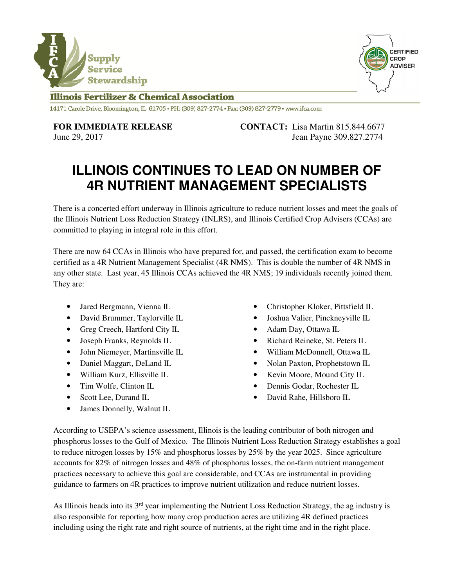



## **Illinois Fertilizer & Chemical Association**

14171 Carole Drive, Bloomington, IL 61705 · PH: (309) 827-2774 · Fax: (309) 827-2779 · www.ifca.com

**FOR IMMEDIATE RELEASE CONTACT:** Lisa Martin 815.844.6677 June 29, 2017 **June 29, 2017** 

## **ILLINOIS CONTINUES TO LEAD ON NUMBER OF 4R NUTRIENT MANAGEMENT SPECIALISTS**

There is a concerted effort underway in Illinois agriculture to reduce nutrient losses and meet the goals of the Illinois Nutrient Loss Reduction Strategy (INLRS), and Illinois Certified Crop Advisers (CCAs) are committed to playing in integral role in this effort.

There are now 64 CCAs in Illinois who have prepared for, and passed, the certification exam to become certified as a 4R Nutrient Management Specialist (4R NMS). This is double the number of 4R NMS in any other state. Last year, 45 Illinois CCAs achieved the 4R NMS; 19 individuals recently joined them. They are:

- Jared Bergmann, Vienna IL
- David Brummer, Taylorville IL
- Greg Creech, Hartford City IL
- Joseph Franks, Reynolds IL
- John Niemeyer, Martinsville IL
- Daniel Maggart, DeLand IL
- William Kurz, Ellisville IL
- Tim Wolfe, Clinton IL
- Scott Lee, Durand IL
- James Donnelly, Walnut IL
- Christopher Kloker, Pittsfield IL
- Joshua Valier, Pinckneyville IL
- Adam Day, Ottawa IL
- Richard Reineke, St. Peters IL
- William McDonnell, Ottawa IL
- Nolan Paxton, Prophetstown IL
- Kevin Moore, Mound City IL
- Dennis Godar, Rochester IL
- David Rahe, Hillsboro IL

According to USEPA's science assessment, Illinois is the leading contributor of both nitrogen and phosphorus losses to the Gulf of Mexico. The Illinois Nutrient Loss Reduction Strategy establishes a goal to reduce nitrogen losses by 15% and phosphorus losses by 25% by the year 2025. Since agriculture accounts for 82% of nitrogen losses and 48% of phosphorus losses, the on-farm nutrient management practices necessary to achieve this goal are considerable, and CCAs are instrumental in providing guidance to farmers on 4R practices to improve nutrient utilization and reduce nutrient losses.

As Illinois heads into its 3rd year implementing the Nutrient Loss Reduction Strategy, the ag industry is also responsible for reporting how many crop production acres are utilizing 4R defined practices including using the right rate and right source of nutrients, at the right time and in the right place.